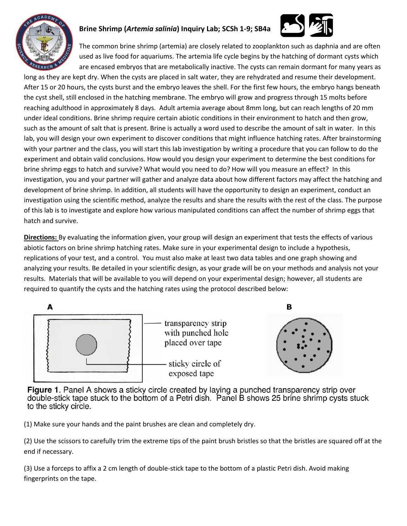

## **Brine Shrimp (***Artemia salinia***) Inquiry Lab; SCSh 1-9; SB4a**



The common brine shrimp (artemia) are closely related to zooplankton such as daphnia and are often used as live food for aquariums. The artemia life cycle begins by the hatching of dormant cysts which are encased embryos that are metabolically inactive. The cysts can remain dormant for many years as

long as they are kept dry. When the cysts are placed in salt water, they are rehydrated and resume their development. After 15 or 20 hours, the cysts burst and the embryo leaves the shell. For the first few hours, the embryo hangs beneath the cyst shell, still enclosed in the hatching membrane. The embryo will grow and progress through 15 molts before reaching adulthood in approximately 8 days. Adult artemia average about 8mm long, but can reach lengths of 20 mm under ideal conditions. Brine shrimp require certain abiotic conditions in their environment to hatch and then grow, such as the amount of salt that is present. Brine is actually a word used to describe the amount of salt in water. In this lab, you will design your own experiment to discover conditions that might influence hatching rates. After brainstorming with your partner and the class, you will start this lab investigation by writing a procedure that you can follow to do the experiment and obtain valid conclusions. How would you design your experiment to determine the best conditions for brine shrimp eggs to hatch and survive? What would you need to do? How will you measure an effect? In this investigation, you and your partner will gather and analyze data about how different factors may affect the hatching and development of brine shrimp. In addition, all students will have the opportunity to design an experiment, conduct an investigation using the scientific method, analyze the results and share the results with the rest of the class. The purpose of this lab is to investigate and explore how various manipulated conditions can affect the number of shrimp eggs that hatch and survive.

**Directions:** By evaluating the information given, your group will design an experiment that tests the effects of various abiotic factors on brine shrimp hatching rates. Make sure in your experimental design to include a hypothesis, replications of your test, and a control. You must also make at least two data tables and one graph showing and analyzing your results. Be detailed in your scientific design, as your grade will be on your methods and analysis not your results. Materials that will be available to you will depend on your experimental design; however, all students are required to quantify the cysts and the hatching rates using the protocol described below:





Figure 1. Panel A shows a sticky circle created by laying a punched transparency strip over double-stick tape stuck to the bottom of a Petri dish. Panel B shows 25 brine shrimp cysts stuck to the sticky circle.

(1) Make sure your hands and the paint brushes are clean and completely dry.

(2) Use the scissors to carefully trim the extreme tips of the paint brush bristles so that the bristles are squared off at the end if necessary.

(3) Use a forceps to affix a 2 cm length of double-stick tape to the bottom of a plastic Petri dish. Avoid making fingerprints on the tape.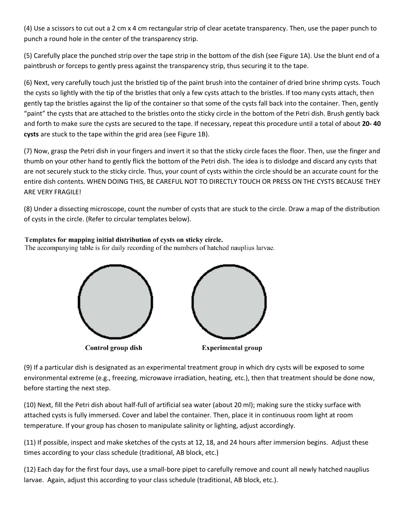(4) Use a scissors to cut out a 2 cm x 4 cm rectangular strip of clear acetate transparency. Then, use the paper punch to punch a round hole in the center of the transparency strip.

(5) Carefully place the punched strip over the tape strip in the bottom of the dish (see Figure 1A). Use the blunt end of a paintbrush or forceps to gently press against the transparency strip, thus securing it to the tape.

(6) Next, very carefully touch just the bristled tip of the paint brush into the container of dried brine shrimp cysts. Touch the cysts so lightly with the tip of the bristles that only a few cysts attach to the bristles. If too many cysts attach, then gently tap the bristles against the lip of the container so that some of the cysts fall back into the container. Then, gently "paint" the cysts that are attached to the bristles onto the sticky circle in the bottom of the Petri dish. Brush gently back and forth to make sure the cysts are secured to the tape. If necessary, repeat this procedure until a total of about **20- 40 cysts** are stuck to the tape within the grid area (see Figure 1B).

(7) Now, grasp the Petri dish in your fingers and invert it so that the sticky circle faces the floor. Then, use the finger and thumb on your other hand to gently flick the bottom of the Petri dish. The idea is to dislodge and discard any cysts that are not securely stuck to the sticky circle. Thus, your count of cysts within the circle should be an accurate count for the entire dish contents. WHEN DOING THIS, BE CAREFUL NOT TO DIRECTLY TOUCH OR PRESS ON THE CYSTS BECAUSE THEY ARE VERY FRAGILE!

(8) Under a dissecting microscope, count the number of cysts that are stuck to the circle. Draw a map of the distribution of cysts in the circle. (Refer to circular templates below).

## Templates for mapping initial distribution of cysts on sticky circle.

The accompanying table is for daily recording of the numbers of hatched nauplius larvae.



(9) If a particular dish is designated as an experimental treatment group in which dry cysts will be exposed to some environmental extreme (e.g., freezing, microwave irradiation, heating, etc.), then that treatment should be done now, before starting the next step.

(10) Next, fill the Petri dish about half-full of artificial sea water (about 20 ml); making sure the sticky surface with attached cysts is fully immersed. Cover and label the container. Then, place it in continuous room light at room temperature. If your group has chosen to manipulate salinity or lighting, adjust accordingly.

(11) If possible, inspect and make sketches of the cysts at 12, 18, and 24 hours after immersion begins. Adjust these times according to your class schedule (traditional, AB block, etc.)

(12) Each day for the first four days, use a small-bore pipet to carefully remove and count all newly hatched nauplius larvae. Again, adjust this according to your class schedule (traditional, AB block, etc.).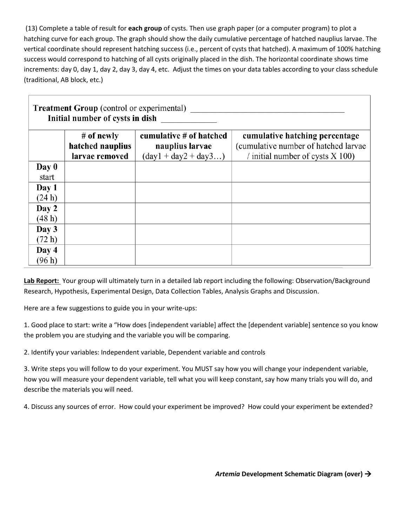(13) Complete a table of result for **each group** of cysts. Then use graph paper (or a computer program) to plot a hatching curve for each group. The graph should show the daily cumulative percentage of hatched nauplius larvae. The vertical coordinate should represent hatching success (i.e., percent of cysts that hatched). A maximum of 100% hatching success would correspond to hatching of all cysts originally placed in the dish. The horizontal coordinate shows time increments: day 0, day 1, day 2, day 3, day 4, etc. Adjust the times on your data tables according to your class schedule (traditional, AB block, etc.)

| <b>Treatment Group</b> (control or experimental)<br>Initial number of cysts in dish |                                    |                                                                |                                                                             |
|-------------------------------------------------------------------------------------|------------------------------------|----------------------------------------------------------------|-----------------------------------------------------------------------------|
|                                                                                     | # of newly                         | cumulative # of hatched                                        | cumulative hatching percentage                                              |
|                                                                                     | hatched nauplius<br>larvae removed | nauplius larvae<br>$(\text{day1} + \text{day2} + \text{day3})$ | (cumulative number of hatched larvae)<br>/ initial number of cysts $X$ 100) |
| Day 0                                                                               |                                    |                                                                |                                                                             |
| start                                                                               |                                    |                                                                |                                                                             |
| Day 1                                                                               |                                    |                                                                |                                                                             |
| (24 h)                                                                              |                                    |                                                                |                                                                             |
| Day 2                                                                               |                                    |                                                                |                                                                             |
| (48 h)                                                                              |                                    |                                                                |                                                                             |
| Day 3                                                                               |                                    |                                                                |                                                                             |
| (72 h)                                                                              |                                    |                                                                |                                                                             |
| Day 4                                                                               |                                    |                                                                |                                                                             |
| (96 h)                                                                              |                                    |                                                                |                                                                             |

**Lab Report:** Your group will ultimately turn in a detailed lab report including the following: Observation/Background Research, Hypothesis, Experimental Design, Data Collection Tables, Analysis Graphs and Discussion.

Here are a few suggestions to guide you in your write-ups:

1. Good place to start: write a "How does [independent variable] affect the [dependent variable] sentence so you know the problem you are studying and the variable you will be comparing.

2. Identify your variables: Independent variable, Dependent variable and controls

3. Write steps you will follow to do your experiment. You MUST say how you will change your independent variable, how you will measure your dependent variable, tell what you will keep constant, say how many trials you will do, and describe the materials you will need.

4. Discuss any sources of error. How could your experiment be improved? How could your experiment be extended?